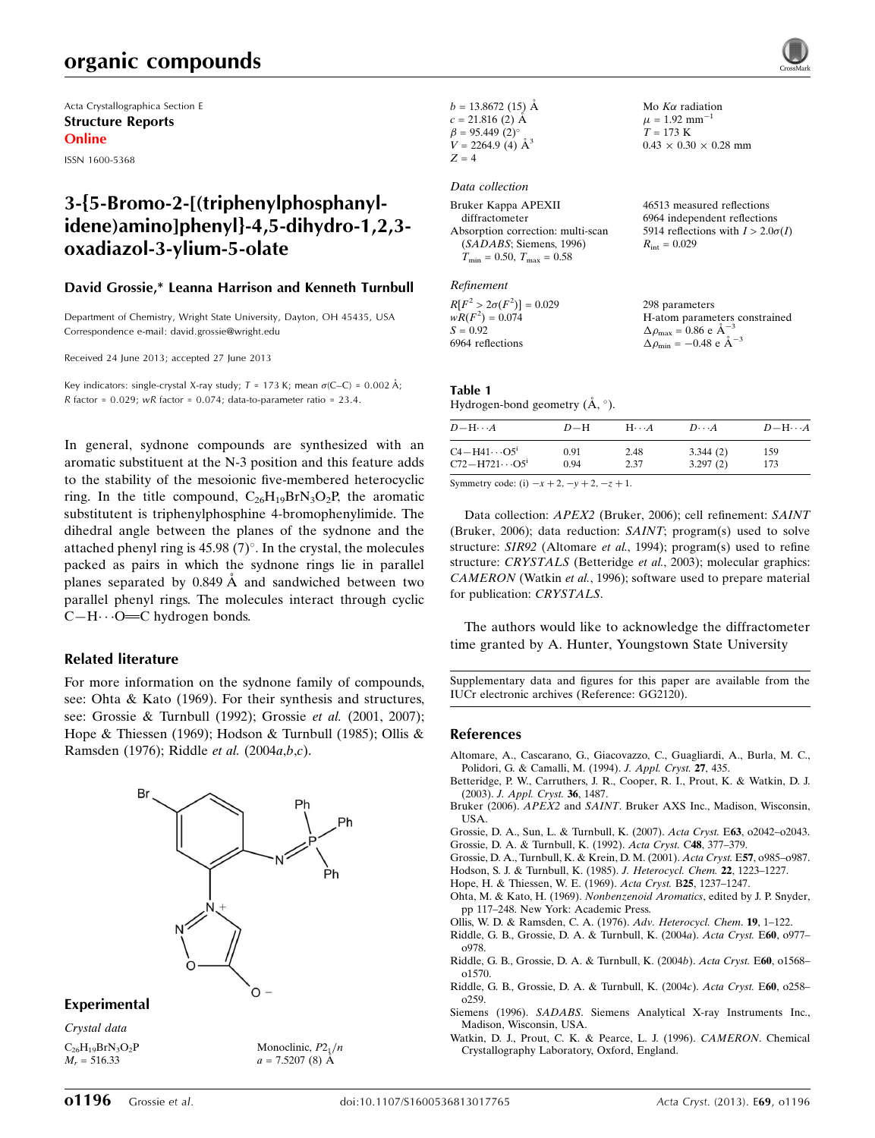## organic compounds

Acta Crystallographica Section E Structure Reports Online

ISSN 1600-5368

## 3-{5-Bromo-2-[(triphenylphosphanylidene)amino]phenyl}-4,5-dihydro-1,2,3 oxadiazol-3-ylium-5-olate

### David Grossie,\* Leanna Harrison and Kenneth Turnbull

Department of Chemistry, Wright State University, Dayton, OH 45435, USA Correspondence e-mail: [david.grossie@wright.edu](https://scripts.iucr.org/cgi-bin/cr.cgi?rm=pdfbb&cnor=gg2120&bbid=BB15)

Received 24 June 2013; accepted 27 June 2013

Key indicators: single-crystal X-ray study;  $T = 173$  K; mean  $\sigma$ (C–C) = 0.002 Å; R factor =  $0.029$ ; wR factor =  $0.074$ ; data-to-parameter ratio =  $23.4$ .

In general, sydnone compounds are synthesized with an aromatic substituent at the N-3 position and this feature adds to the stability of the mesoionic five-membered heterocyclic ring. In the title compound,  $C_{26}H_{19}BrN_3O_2P$ , the aromatic substitutent is triphenylphosphine 4-bromophenylimide. The dihedral angle between the planes of the sydnone and the attached phenyl ring is  $45.98(7)$ °. In the crystal, the molecules packed as pairs in which the sydnone rings lie in parallel planes separated by  $0.849 \text{ Å}$  and sandwiched between two parallel phenyl rings. The molecules interact through cyclic  $C-H \cdots O=C$  hydrogen bonds.

### Related literature

For more information on the sydnone family of compounds, see: Ohta & Kato (1969). For their synthesis and structures, see: Grossie & Turnbull (1992); Grossie et al. (2001, 2007); Hope & Thiessen (1969); Hodson & Turnbull (1985); Ollis & Ramsden (1976); Riddle et al. (2004a,b,c).



Monoclinic,  $P2_1/n$  $a = 7.5207(8)$  A

### Experimental

Crystal data  $C_{26}H_{19}BrN_3O_2P$  $M_r = 516.33$ 

 $b = 13.8672(15)$  Å  $c = 21.816$  (2) Å  $\beta = 95.449$  (2)<sup>o</sup>  $V = 2264.9$  (4)  $\AA^3$  $Z = 4$ 

### Data collection

| Bruker Kappa APEXII                | 46513 measured reflections               |
|------------------------------------|------------------------------------------|
| diffractometer                     | 6964 independent reflections             |
| Absorption correction: multi-scan  | 5914 reflections with $I > 2.0\sigma(I)$ |
| (SADABS; Siemens, 1996)            | $R_{\rm int} = 0.029$                    |
| $T_{\min} = 0.50, T_{\max} = 0.58$ |                                          |
| Refinement                         |                                          |

Mo  $K\alpha$  radiation  $\mu$  = 1.92 mm<sup>-1</sup>  $T = 173 K$ 

 $0.43 \times 0.30 \times 0.28$  mm

| $R[F^2 > 2\sigma(F^2)] = 0.029$ | 298 parameters                                     |
|---------------------------------|----------------------------------------------------|
| $wR(F^2) = 0.074$               | H-atom parameters constrained                      |
| $S = 0.92$                      | $\Delta \rho_{\text{max}} = 0.86 \text{ e A}^{-3}$ |
| 6964 reflections                | $\Delta \rho_{\text{min}} = -0.48$ e $\AA^{-3}$    |

### Table 1

Hydrogen-bond geometry  $(\AA, \degree)$ .

| $D - H \cdots A$                  | $D-H$ | $H \cdots A$ | $D\cdots A$ | $D - H \cdots A$ |
|-----------------------------------|-------|--------------|-------------|------------------|
| $C4 - H41 \cdots O5$ <sup>i</sup> | 0.91  | 2.48         | 3.344(2)    | 159              |
| $C72 - H721 \cdots O5^i$          | 0.94  | 2.37         | 3.297(2)    | 173              |

Symmetry code: (i)  $-x + 2$ ,  $-y + 2$ ,  $-z + 1$ .

Data collection: APEX2 (Bruker, 2006); cell refinement: SAINT (Bruker, 2006); data reduction: SAINT; program(s) used to solve structure: SIR92 (Altomare et al., 1994); program(s) used to refine structure: CRYSTALS (Betteridge et al., 2003); molecular graphics: CAMERON (Watkin et al., 1996); software used to prepare material for publication: CRYSTALS.

The authors would like to acknowledge the diffractometer time granted by A. Hunter, Youngstown State University

Supplementary data and figures for this paper are available from the IUCr electronic archives (Reference: GG2120).

#### References

- [Altomare, A., Cascarano, G., Giacovazzo, C., Guagliardi, A., Burla, M. C.,](https://scripts.iucr.org/cgi-bin/cr.cgi?rm=pdfbb&cnor=gg2120&bbid=BB1) [Polidori, G. & Camalli, M. \(1994\).](https://scripts.iucr.org/cgi-bin/cr.cgi?rm=pdfbb&cnor=gg2120&bbid=BB1) J. Appl. Cryst. 27, 435.
- [Betteridge, P. W., Carruthers, J. R., Cooper, R. I., Prout, K. & Watkin, D. J.](https://scripts.iucr.org/cgi-bin/cr.cgi?rm=pdfbb&cnor=gg2120&bbid=BB2) (2003). [J. Appl. Cryst.](https://scripts.iucr.org/cgi-bin/cr.cgi?rm=pdfbb&cnor=gg2120&bbid=BB2) 36, 1487.
- Bruker (2006). APEX2 and SAINT[. Bruker AXS Inc., Madison, Wisconsin,](https://scripts.iucr.org/cgi-bin/cr.cgi?rm=pdfbb&cnor=gg2120&bbid=BB3) [USA.](https://scripts.iucr.org/cgi-bin/cr.cgi?rm=pdfbb&cnor=gg2120&bbid=BB3)
- [Grossie, D. A., Sun, L. & Turnbull, K. \(2007\).](https://scripts.iucr.org/cgi-bin/cr.cgi?rm=pdfbb&cnor=gg2120&bbid=BB4) Acta Cryst. E63, o2042–o2043. [Grossie, D. A. & Turnbull, K. \(1992\).](https://scripts.iucr.org/cgi-bin/cr.cgi?rm=pdfbb&cnor=gg2120&bbid=BB5) Acta Cryst. C48, 377–379.
- [Grossie, D. A., Turnbull, K. & Krein, D. M. \(2001\).](https://scripts.iucr.org/cgi-bin/cr.cgi?rm=pdfbb&cnor=gg2120&bbid=BB6) Acta Cryst. E57, o985–o987.
- [Hodson, S. J. & Turnbull, K. \(1985\).](https://scripts.iucr.org/cgi-bin/cr.cgi?rm=pdfbb&cnor=gg2120&bbid=BB7) J. Heterocycl. Chem. 22, 1223–1227.
- [Hope, H. & Thiessen, W. E. \(1969\).](https://scripts.iucr.org/cgi-bin/cr.cgi?rm=pdfbb&cnor=gg2120&bbid=BB8) Acta Cryst. B25, 1237–1247.
- [Ohta, M. & Kato, H. \(1969\).](https://scripts.iucr.org/cgi-bin/cr.cgi?rm=pdfbb&cnor=gg2120&bbid=BB9) Nonbenzenoid Aromatics, edited by J. P. Snyder, [pp 117–248. New York: Academic Press.](https://scripts.iucr.org/cgi-bin/cr.cgi?rm=pdfbb&cnor=gg2120&bbid=BB9)
- [Ollis, W. D. & Ramsden, C. A. \(1976\).](https://scripts.iucr.org/cgi-bin/cr.cgi?rm=pdfbb&cnor=gg2120&bbid=BB10) Adv. Heterocycl. Chem. 19, 1–122.
- [Riddle, G. B., Grossie, D. A. & Turnbull, K. \(2004](https://scripts.iucr.org/cgi-bin/cr.cgi?rm=pdfbb&cnor=gg2120&bbid=BB11)a). Acta Cryst. E60, o977– [o978.](https://scripts.iucr.org/cgi-bin/cr.cgi?rm=pdfbb&cnor=gg2120&bbid=BB11)
- [Riddle, G. B., Grossie, D. A. & Turnbull, K. \(2004](https://scripts.iucr.org/cgi-bin/cr.cgi?rm=pdfbb&cnor=gg2120&bbid=BB12)b). Acta Cryst. E60, o1568– [o1570.](https://scripts.iucr.org/cgi-bin/cr.cgi?rm=pdfbb&cnor=gg2120&bbid=BB12)
- [Riddle, G. B., Grossie, D. A. & Turnbull, K. \(2004](https://scripts.iucr.org/cgi-bin/cr.cgi?rm=pdfbb&cnor=gg2120&bbid=BB13)c). Acta Cryst. E60, o258– [o259.](https://scripts.iucr.org/cgi-bin/cr.cgi?rm=pdfbb&cnor=gg2120&bbid=BB13)
- Siemens (1996). SADABS[. Siemens Analytical X-ray Instruments Inc.,](https://scripts.iucr.org/cgi-bin/cr.cgi?rm=pdfbb&cnor=gg2120&bbid=BB14) [Madison, Wisconsin, USA.](https://scripts.iucr.org/cgi-bin/cr.cgi?rm=pdfbb&cnor=gg2120&bbid=BB14)
- [Watkin, D. J., Prout, C. K. & Pearce, L. J. \(1996\).](https://scripts.iucr.org/cgi-bin/cr.cgi?rm=pdfbb&cnor=gg2120&bbid=BB15) CAMERON. Chemical [Crystallography Laboratory, Oxford, England.](https://scripts.iucr.org/cgi-bin/cr.cgi?rm=pdfbb&cnor=gg2120&bbid=BB15)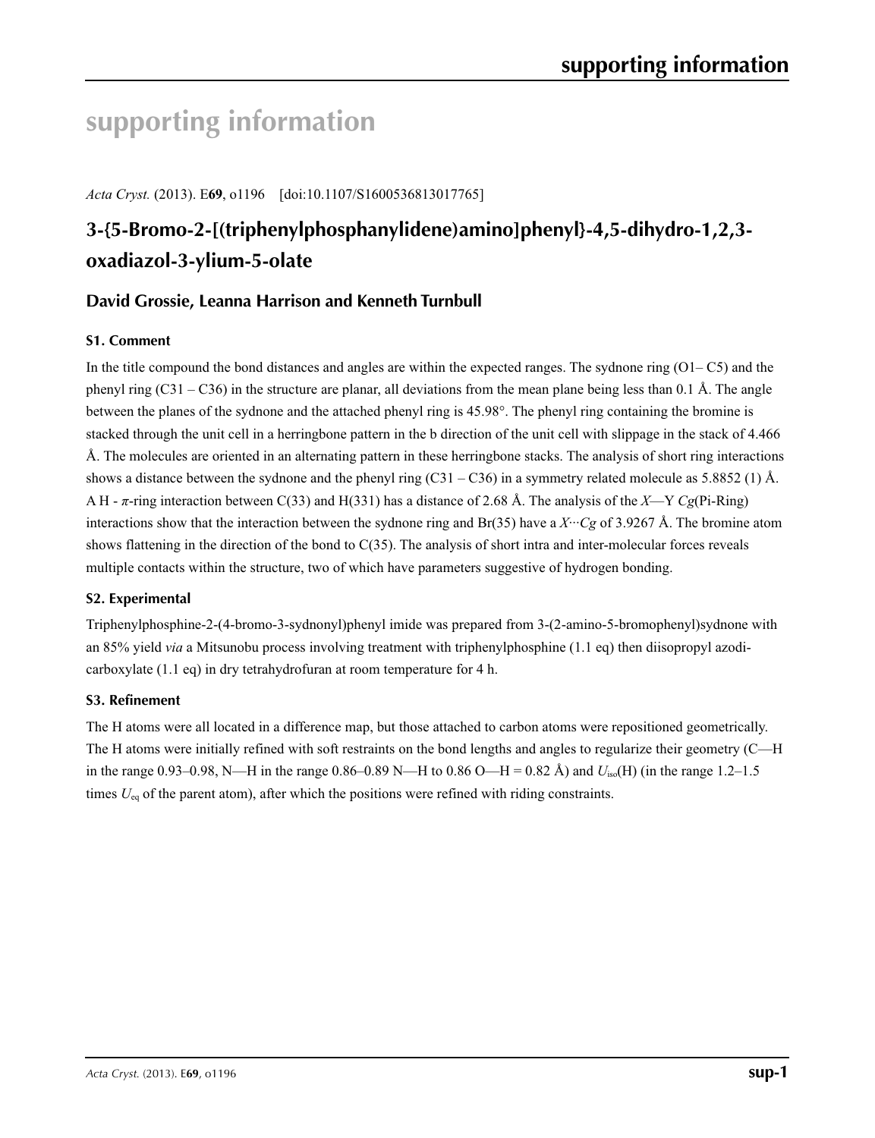# **supporting information**

*Acta Cryst.* (2013). E**69**, o1196 [doi:10.1107/S1600536813017765]

# **3-{5-Bromo-2-[(triphenylphosphanylidene)amino]phenyl}-4,5-dihydro-1,2,3 oxadiazol-3-ylium-5-olate**

### **David Grossie, Leanna Harrison and Kenneth Turnbull**

### **S1. Comment**

In the title compound the bond distances and angles are within the expected ranges. The sydnone ring  $(O1-C5)$  and the phenyl ring  $(C31 - C36)$  in the structure are planar, all deviations from the mean plane being less than 0.1 Å. The angle between the planes of the sydnone and the attached phenyl ring is 45.98°. The phenyl ring containing the bromine is stacked through the unit cell in a herringbone pattern in the b direction of the unit cell with slippage in the stack of 4.466 Å. The molecules are oriented in an alternating pattern in these herringbone stacks. The analysis of short ring interactions shows a distance between the sydnone and the phenyl ring  $(C31 - C36)$  in a symmetry related molecule as 5.8852 (1) Å. A H - *π*-ring interaction between C(33) and H(331) has a distance of 2.68 Å. The analysis of the *X*—Y *Cg*(Pi-Ring) interactions show that the interaction between the sydnone ring and Br(35) have a *X*···*Cg* of 3.9267 Å. The bromine atom shows flattening in the direction of the bond to C(35). The analysis of short intra and inter-molecular forces reveals multiple contacts within the structure, two of which have parameters suggestive of hydrogen bonding.

### **S2. Experimental**

Triphenylphosphine-2-(4-bromo-3-sydnonyl)phenyl imide was prepared from 3-(2-amino-5-bromophenyl)sydnone with an 85% yield *via* a Mitsunobu process involving treatment with triphenylphosphine (1.1 eq) then diisopropyl azodicarboxylate (1.1 eq) in dry tetrahydrofuran at room temperature for 4 h.

### **S3. Refinement**

The H atoms were all located in a difference map, but those attached to carbon atoms were repositioned geometrically. The H atoms were initially refined with soft restraints on the bond lengths and angles to regularize their geometry (C—H in the range 0.93–0.98, N—H in the range 0.86–0.89 N—H to 0.86 O—H = 0.82 Å) and *U*iso(H) (in the range 1.2–1.5 times  $U_{eq}$  of the parent atom), after which the positions were refined with riding constraints.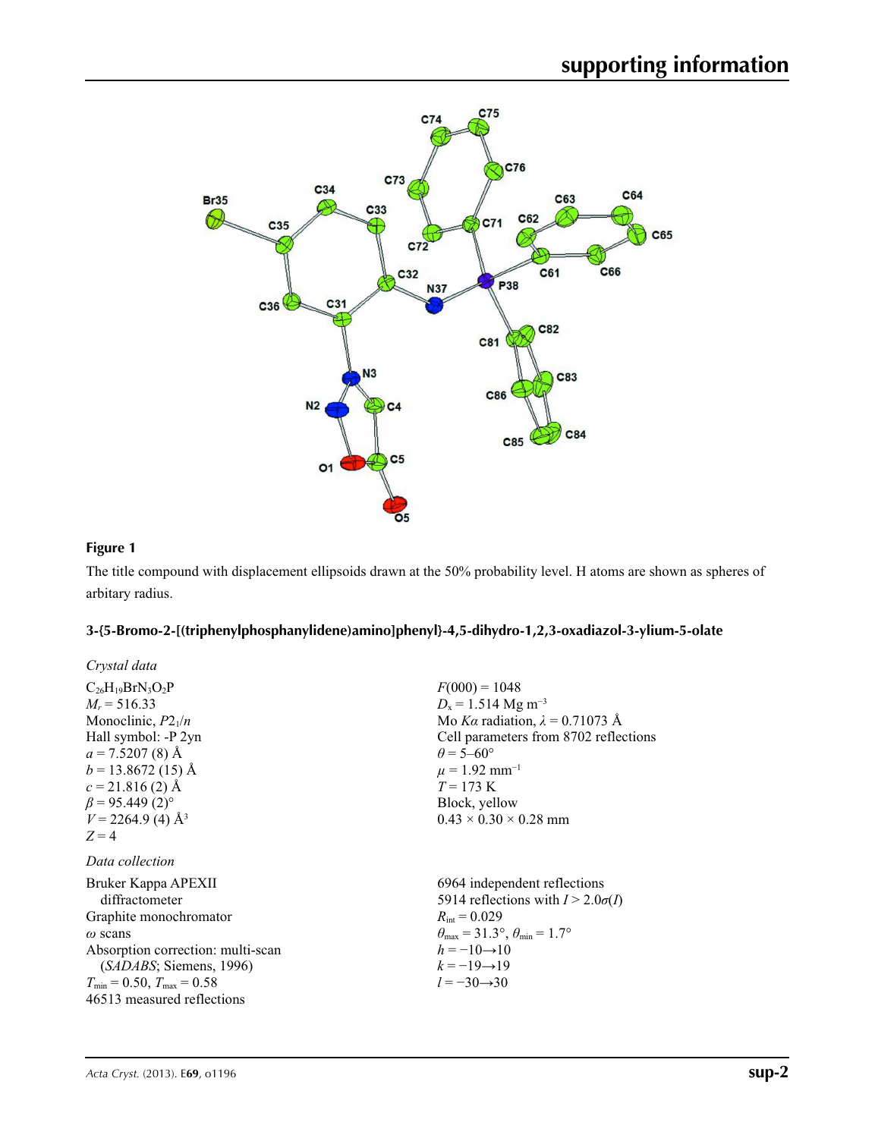

### **Figure 1**

The title compound with displacement ellipsoids drawn at the 50% probability level. H atoms are shown as spheres of arbitary radius.

### **3-{5-Bromo-2-[(triphenylphosphanylidene)amino]phenyl}-4,5-dihydro-1,2,3-oxadiazol-3-ylium-5-olate**

| Crystal data                         |                                                       |
|--------------------------------------|-------------------------------------------------------|
| $C_{26}H_{19}BrN_3O_2P$              | $F(000) = 1048$                                       |
| $M_r = 516.33$                       | $D_x = 1.514$ Mg m <sup>-3</sup>                      |
| Monoclinic, $P2_1/n$                 | Mo Ka radiation, $\lambda = 0.71073$ Å                |
| Hall symbol: -P 2yn                  | Cell parameters from 8702 reflections                 |
| $a = 7.5207(8)$ Å                    | $\theta$ = 5–60 $^{\circ}$                            |
| $b = 13.8672(15)$ Å                  | $\mu = 1.92$ mm <sup>-1</sup>                         |
| $c = 21.816(2)$ Å                    | $T = 173 \text{ K}$                                   |
| $\beta$ = 95.449 (2) <sup>o</sup>    | Block, yellow                                         |
| $V = 2264.9$ (4) Å <sup>3</sup>      | $0.43 \times 0.30 \times 0.28$ mm                     |
| $Z=4$                                |                                                       |
| Data collection                      |                                                       |
| Bruker Kappa APEXII                  | 6964 independent reflections                          |
| diffractometer                       | 5914 reflections with $I > 2.0\sigma(I)$              |
| Graphite monochromator               | $R_{\text{int}} = 0.029$                              |
| $\omega$ scans                       | $\theta_{\rm max}$ = 31.3°, $\theta_{\rm min}$ = 1.7° |
| Absorption correction: multi-scan    | $h = -10 \rightarrow 10$                              |
| (SADABS; Siemens, 1996)              | $k = -19 \rightarrow 19$                              |
| $T_{\min}$ = 0.50, $T_{\max}$ = 0.58 | $l = -30 \rightarrow 30$                              |
| 46513 measured reflections           |                                                       |
|                                      |                                                       |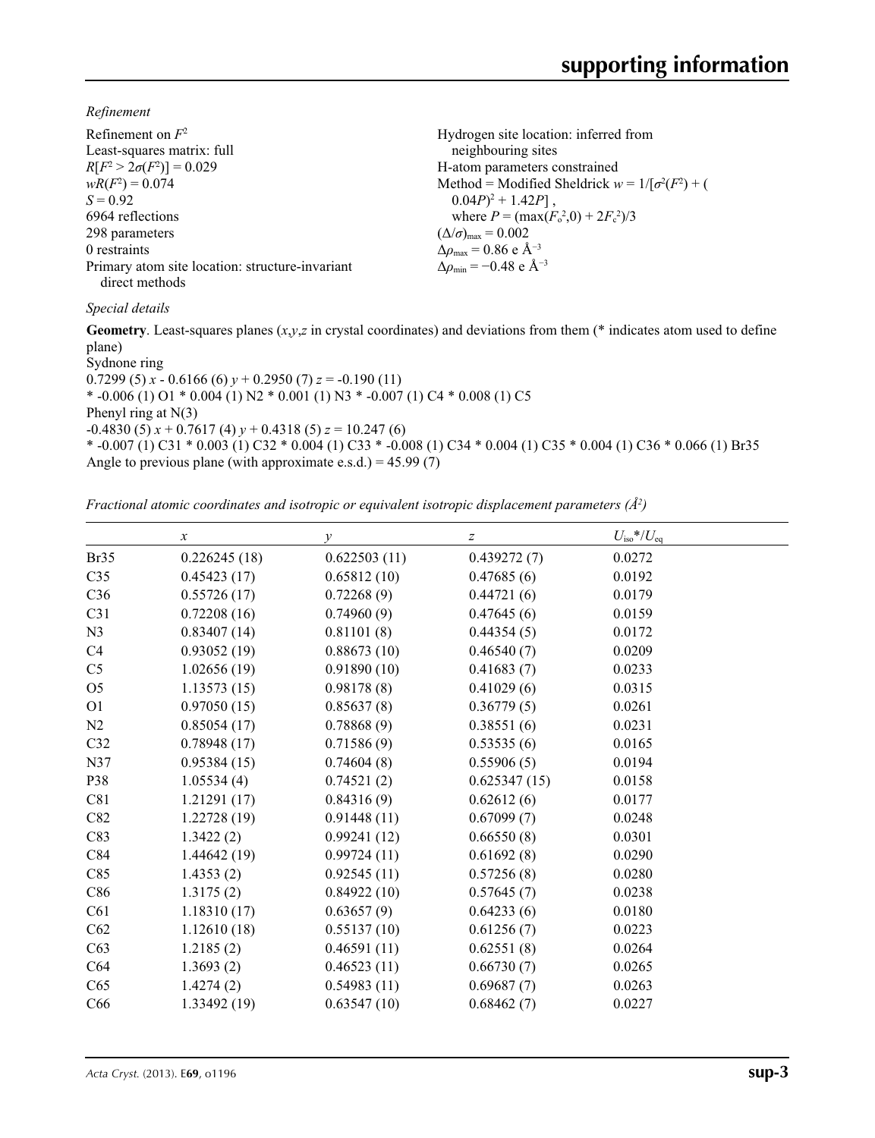*Refinement*

| Refinement on $F^2$                             | Hydrogen site location: inferred from                  |
|-------------------------------------------------|--------------------------------------------------------|
| Least-squares matrix: full                      | neighbouring sites                                     |
| $R[F^2 > 2\sigma(F^2)] = 0.029$                 | H-atom parameters constrained                          |
| $wR(F^2) = 0.074$                               | Method = Modified Sheldrick $w = 1/[\sigma^2(F^2) + ($ |
| $S = 0.92$                                      | $0.04P)^2 + 1.42P$ ,                                   |
| 6964 reflections                                | where $P = (\max(F_0^2, 0) + 2F_c^2)/3$                |
| 298 parameters                                  | $(\Delta/\sigma)_{\text{max}} = 0.002$                 |
| 0 restraints                                    | $\Delta\rho_{\text{max}}$ = 0.86 e Å <sup>-3</sup>     |
| Primary atom site location: structure-invariant | $\Delta \rho_{\rm min} = -0.48 \text{ e A}^{-3}$       |
| direct methods                                  |                                                        |

### *Special details*

**Geometry**. Least-squares planes (*x*,*y*,*z* in crystal coordinates) and deviations from them (\* indicates atom used to define plane)

Sydnone ring 0.7299 (5)  $x - 0.6166$  (6)  $y + 0.2950$  (7)  $z = -0.190$  (11) \*  $-0.006(1)$  O1 \*  $0.004(1)$  N2 \*  $0.001(1)$  N3 \*  $-0.007(1)$  C4 \*  $0.008(1)$  C5 Phenyl ring at  $N(3)$  $-0.4830(5) x + 0.7617(4) y + 0.4318(5) z = 10.247(6)$ \* -0.007 (1) C31 \* 0.003 (1) C32 \* 0.004 (1) C33 \* -0.008 (1) C34 \* 0.004 (1) C35 \* 0.004 (1) C36 \* 0.066 (1) Br35 Angle to previous plane (with approximate e.s.d.) =  $45.99(7)$ 

*Fractional atomic coordinates and isotropic or equivalent isotropic displacement parameters (Å<sup>2</sup>)* 

|                 | $\boldsymbol{\chi}$ | $\mathcal{Y}$ | $\boldsymbol{Z}$ | $U_{\rm iso}*/U_{\rm eq}$ |  |
|-----------------|---------------------|---------------|------------------|---------------------------|--|
| Br35            | 0.226245(18)        | 0.622503(11)  | 0.439272(7)      | 0.0272                    |  |
| C <sub>35</sub> | 0.45423(17)         | 0.65812(10)   | 0.47685(6)       | 0.0192                    |  |
| C36             | 0.55726(17)         | 0.72268(9)    | 0.44721(6)       | 0.0179                    |  |
| C <sub>31</sub> | 0.72208(16)         | 0.74960(9)    | 0.47645(6)       | 0.0159                    |  |
| N <sub>3</sub>  | 0.83407(14)         | 0.81101(8)    | 0.44354(5)       | 0.0172                    |  |
| C4              | 0.93052(19)         | 0.88673(10)   | 0.46540(7)       | 0.0209                    |  |
| C <sub>5</sub>  | 1.02656(19)         | 0.91890(10)   | 0.41683(7)       | 0.0233                    |  |
| O <sub>5</sub>  | 1.13573(15)         | 0.98178(8)    | 0.41029(6)       | 0.0315                    |  |
| O <sub>1</sub>  | 0.97050(15)         | 0.85637(8)    | 0.36779(5)       | 0.0261                    |  |
| N2              | 0.85054(17)         | 0.78868(9)    | 0.38551(6)       | 0.0231                    |  |
| C32             | 0.78948(17)         | 0.71586(9)    | 0.53535(6)       | 0.0165                    |  |
| N37             | 0.95384(15)         | 0.74604(8)    | 0.55906(5)       | 0.0194                    |  |
| P38             | 1.05534(4)          | 0.74521(2)    | 0.625347(15)     | 0.0158                    |  |
| C81             | 1.21291(17)         | 0.84316(9)    | 0.62612(6)       | 0.0177                    |  |
| C82             | 1.22728(19)         | 0.91448(11)   | 0.67099(7)       | 0.0248                    |  |
| C83             | 1.3422(2)           | 0.99241(12)   | 0.66550(8)       | 0.0301                    |  |
| C84             | 1.44642(19)         | 0.99724(11)   | 0.61692(8)       | 0.0290                    |  |
| C85             | 1.4353(2)           | 0.92545(11)   | 0.57256(8)       | 0.0280                    |  |
| C86             | 1.3175(2)           | 0.84922(10)   | 0.57645(7)       | 0.0238                    |  |
| C61             | 1.18310(17)         | 0.63657(9)    | 0.64233(6)       | 0.0180                    |  |
| C62             | 1.12610(18)         | 0.55137(10)   | 0.61256(7)       | 0.0223                    |  |
| C63             | 1.2185(2)           | 0.46591(11)   | 0.62551(8)       | 0.0264                    |  |
| C64             | 1.3693(2)           | 0.46523(11)   | 0.66730(7)       | 0.0265                    |  |
| C65             | 1.4274(2)           | 0.54983(11)   | 0.69687(7)       | 0.0263                    |  |
| C66             | 1.33492 (19)        | 0.63547(10)   | 0.68462(7)       | 0.0227                    |  |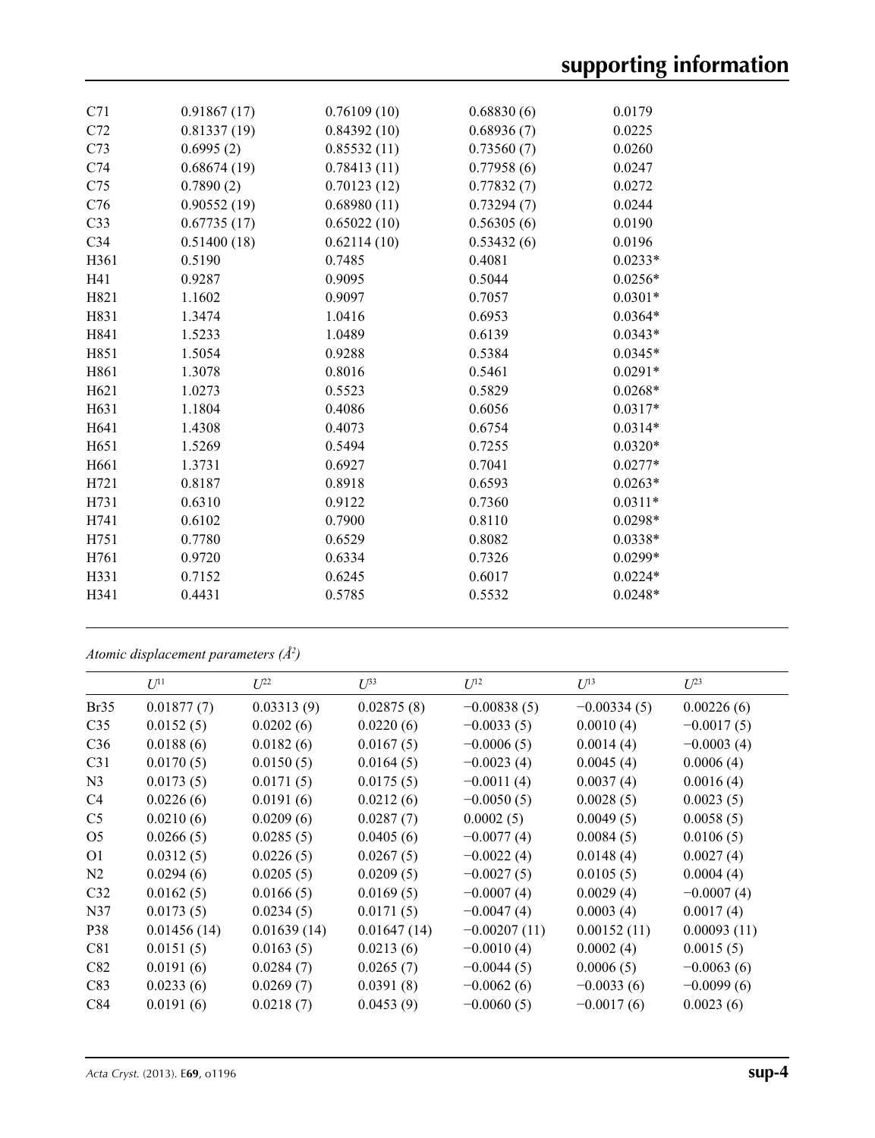| C71              | 0.91867(17) | 0.76109(10) | 0.68830(6) | 0.0179    |
|------------------|-------------|-------------|------------|-----------|
| C72              | 0.81337(19) | 0.84392(10) | 0.68936(7) | 0.0225    |
| C73              | 0.6995(2)   | 0.85532(11) | 0.73560(7) | 0.0260    |
| C74              | 0.68674(19) | 0.78413(11) | 0.77958(6) | 0.0247    |
| C75              | 0.7890(2)   | 0.70123(12) | 0.77832(7) | 0.0272    |
| C76              | 0.90552(19) | 0.68980(11) | 0.73294(7) | 0.0244    |
| C <sub>33</sub>  | 0.67735(17) | 0.65022(10) | 0.56305(6) | 0.0190    |
| C <sub>34</sub>  | 0.51400(18) | 0.62114(10) | 0.53432(6) | 0.0196    |
| H361             | 0.5190      | 0.7485      | 0.4081     | $0.0233*$ |
| H41              | 0.9287      | 0.9095      | 0.5044     | $0.0256*$ |
| H821             | 1.1602      | 0.9097      | 0.7057     | $0.0301*$ |
| H831             | 1.3474      | 1.0416      | 0.6953     | $0.0364*$ |
| H841             | 1.5233      | 1.0489      | 0.6139     | $0.0343*$ |
| H851             | 1.5054      | 0.9288      | 0.5384     | $0.0345*$ |
| H861             | 1.3078      | 0.8016      | 0.5461     | $0.0291*$ |
| H621             | 1.0273      | 0.5523      | 0.5829     | $0.0268*$ |
| H631             | 1.1804      | 0.4086      | 0.6056     | $0.0317*$ |
| H641             | 1.4308      | 0.4073      | 0.6754     | $0.0314*$ |
| H <sub>651</sub> | 1.5269      | 0.5494      | 0.7255     | $0.0320*$ |
| H661             | 1.3731      | 0.6927      | 0.7041     | $0.0277*$ |
| H721             | 0.8187      | 0.8918      | 0.6593     | $0.0263*$ |
| H731             | 0.6310      | 0.9122      | 0.7360     | $0.0311*$ |
| H741             | 0.6102      | 0.7900      | 0.8110     | $0.0298*$ |
| H751             | 0.7780      | 0.6529      | 0.8082     | $0.0338*$ |
| H761             | 0.9720      | 0.6334      | 0.7326     | $0.0299*$ |
| H331             | 0.7152      | 0.6245      | 0.6017     | $0.0224*$ |
| H341             | 0.4431      | 0.5785      | 0.5532     | $0.0248*$ |
|                  |             |             |            |           |

*Atomic displacement parameters (Å2 )*

|                 | $U^{11}$    | $L^{22}$    | $\mathcal{L}^{\beta 3}$ | $U^{12}$       | $U^{13}$      | $U^{23}$     |
|-----------------|-------------|-------------|-------------------------|----------------|---------------|--------------|
| Br35            | 0.01877(7)  | 0.03313(9)  | 0.02875(8)              | $-0.00838(5)$  | $-0.00334(5)$ | 0.00226(6)   |
| C <sub>35</sub> | 0.0152(5)   | 0.0202(6)   | 0.0220(6)               | $-0.0033(5)$   | 0.0010(4)     | $-0.0017(5)$ |
| C <sub>36</sub> | 0.0188(6)   | 0.0182(6)   | 0.0167(5)               | $-0.0006(5)$   | 0.0014(4)     | $-0.0003(4)$ |
| C <sub>31</sub> | 0.0170(5)   | 0.0150(5)   | 0.0164(5)               | $-0.0023(4)$   | 0.0045(4)     | 0.0006(4)    |
| N <sub>3</sub>  | 0.0173(5)   | 0.0171(5)   | 0.0175(5)               | $-0.0011(4)$   | 0.0037(4)     | 0.0016(4)    |
| C4              | 0.0226(6)   | 0.0191(6)   | 0.0212(6)               | $-0.0050(5)$   | 0.0028(5)     | 0.0023(5)    |
| C <sub>5</sub>  | 0.0210(6)   | 0.0209(6)   | 0.0287(7)               | 0.0002(5)      | 0.0049(5)     | 0.0058(5)    |
| O <sub>5</sub>  | 0.0266(5)   | 0.0285(5)   | 0.0405(6)               | $-0.0077(4)$   | 0.0084(5)     | 0.0106(5)    |
| O <sub>1</sub>  | 0.0312(5)   | 0.0226(5)   | 0.0267(5)               | $-0.0022(4)$   | 0.0148(4)     | 0.0027(4)    |
| N2              | 0.0294(6)   | 0.0205(5)   | 0.0209(5)               | $-0.0027(5)$   | 0.0105(5)     | 0.0004(4)    |
| C <sub>32</sub> | 0.0162(5)   | 0.0166(5)   | 0.0169(5)               | $-0.0007(4)$   | 0.0029(4)     | $-0.0007(4)$ |
| N37             | 0.0173(5)   | 0.0234(5)   | 0.0171(5)               | $-0.0047(4)$   | 0.0003(4)     | 0.0017(4)    |
| P38             | 0.01456(14) | 0.01639(14) | 0.01647(14)             | $-0.00207(11)$ | 0.00152(11)   | 0.00093(11)  |
| C81             | 0.0151(5)   | 0.0163(5)   | 0.0213(6)               | $-0.0010(4)$   | 0.0002(4)     | 0.0015(5)    |
| C82             | 0.0191(6)   | 0.0284(7)   | 0.0265(7)               | $-0.0044(5)$   | 0.0006(5)     | $-0.0063(6)$ |
| C83             | 0.0233(6)   | 0.0269(7)   | 0.0391(8)               | $-0.0062(6)$   | $-0.0033(6)$  | $-0.0099(6)$ |
| C84             | 0.0191(6)   | 0.0218(7)   | 0.0453(9)               | $-0.0060(5)$   | $-0.0017(6)$  | 0.0023(6)    |
|                 |             |             |                         |                |               |              |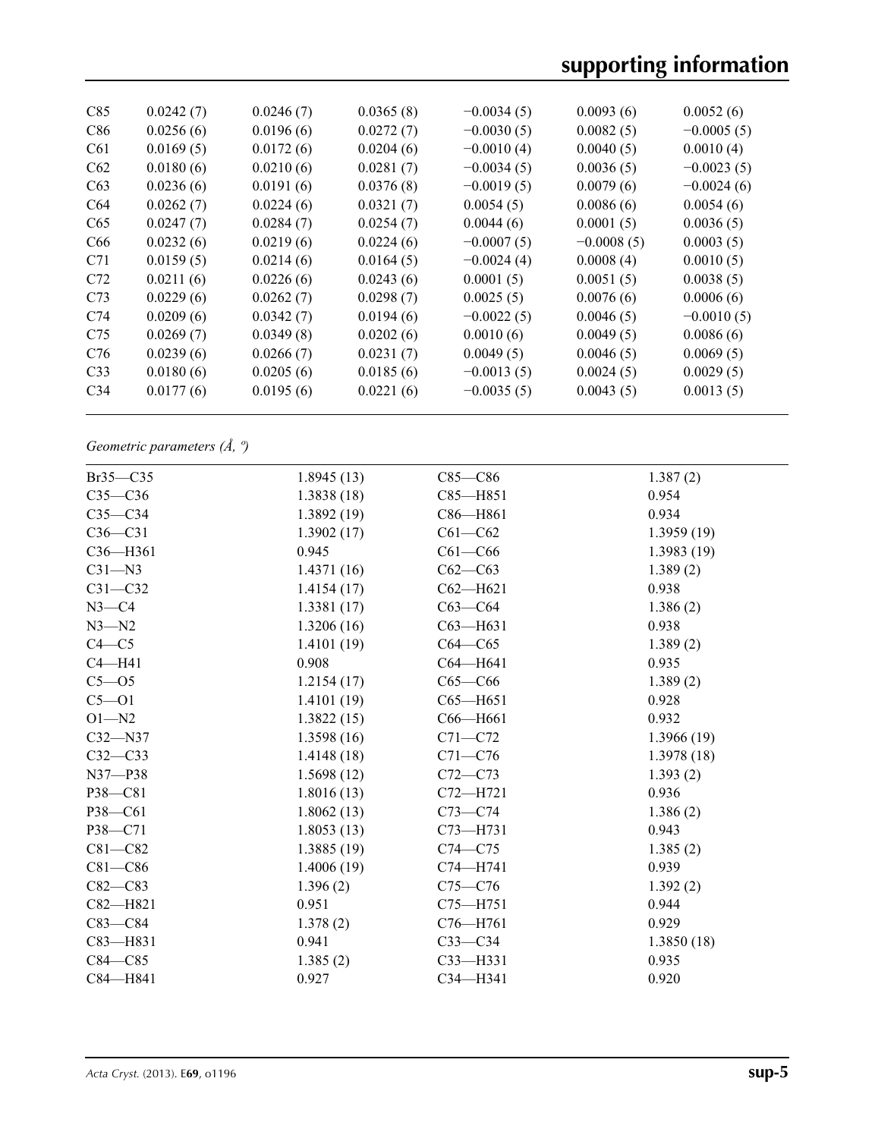| C85             | 0.0242(7) | 0.0246(7) | 0.0365(8) | $-0.0034(5)$ | 0.0093(6)    | 0.0052(6)    |
|-----------------|-----------|-----------|-----------|--------------|--------------|--------------|
| C86             | 0.0256(6) | 0.0196(6) | 0.0272(7) | $-0.0030(5)$ | 0.0082(5)    | $-0.0005(5)$ |
| C <sub>61</sub> | 0.0169(5) | 0.0172(6) | 0.0204(6) | $-0.0010(4)$ | 0.0040(5)    | 0.0010(4)    |
| C62             | 0.0180(6) | 0.0210(6) | 0.0281(7) | $-0.0034(5)$ | 0.0036(5)    | $-0.0023(5)$ |
| C63             | 0.0236(6) | 0.0191(6) | 0.0376(8) | $-0.0019(5)$ | 0.0079(6)    | $-0.0024(6)$ |
| C <sub>64</sub> | 0.0262(7) | 0.0224(6) | 0.0321(7) | 0.0054(5)    | 0.0086(6)    | 0.0054(6)    |
| C65             | 0.0247(7) | 0.0284(7) | 0.0254(7) | 0.0044(6)    | 0.0001(5)    | 0.0036(5)    |
| C <sub>66</sub> | 0.0232(6) | 0.0219(6) | 0.0224(6) | $-0.0007(5)$ | $-0.0008(5)$ | 0.0003(5)    |
| C71             | 0.0159(5) | 0.0214(6) | 0.0164(5) | $-0.0024(4)$ | 0.0008(4)    | 0.0010(5)    |
| C72             | 0.0211(6) | 0.0226(6) | 0.0243(6) | 0.0001(5)    | 0.0051(5)    | 0.0038(5)    |
| C <sub>73</sub> | 0.0229(6) | 0.0262(7) | 0.0298(7) | 0.0025(5)    | 0.0076(6)    | 0.0006(6)    |
| C74             | 0.0209(6) | 0.0342(7) | 0.0194(6) | $-0.0022(5)$ | 0.0046(5)    | $-0.0010(5)$ |
| C <sub>75</sub> | 0.0269(7) | 0.0349(8) | 0.0202(6) | 0.0010(6)    | 0.0049(5)    | 0.0086(6)    |
| C76             | 0.0239(6) | 0.0266(7) | 0.0231(7) | 0.0049(5)    | 0.0046(5)    | 0.0069(5)    |
| C <sub>33</sub> | 0.0180(6) | 0.0205(6) | 0.0185(6) | $-0.0013(5)$ | 0.0024(5)    | 0.0029(5)    |
| C <sub>34</sub> | 0.0177(6) | 0.0195(6) | 0.0221(6) | $-0.0035(5)$ | 0.0043(5)    | 0.0013(5)    |
|                 |           |           |           |              |              |              |

*Geometric parameters (Å, º)*

| $Br35 - C35$ | 1.8945(13) | $C85 - C86$  | 1.387(2)   |
|--------------|------------|--------------|------------|
| $C35-C36$    | 1.3838(18) | $C85 - H851$ | 0.954      |
| $C35-C34$    | 1.3892(19) | $C86 - H861$ | 0.934      |
| $C36-C31$    | 1.3902(17) | $C61 - C62$  | 1.3959(19) |
| $C36 - H361$ | 0.945      | $C61 - C66$  | 1.3983(19) |
| $C31 - N3$   | 1.4371(16) | $C62-C63$    | 1.389(2)   |
| $C31 - C32$  | 1.4154(17) | $C62 - H621$ | 0.938      |
| $N3-C4$      | 1.3381(17) | $C63-C64$    | 1.386(2)   |
| $N3 - N2$    | 1.3206(16) | C63-H631     | 0.938      |
| $C4 - C5$    | 1.4101(19) | $C64 - C65$  | 1.389(2)   |
| $C4 - H41$   | 0.908      | $C64 - H641$ | 0.935      |
| $C5 - O5$    | 1.2154(17) | $C65-C66$    | 1.389(2)   |
| $C5 - O1$    | 1.4101(19) | $C65 - H651$ | 0.928      |
| $O1 - N2$    | 1.3822(15) | C66-H661     | 0.932      |
| $C32 - N37$  | 1.3598(16) | $C71 - C72$  | 1.3966(19) |
| $C32-C33$    | 1.4148(18) | $C71 - C76$  | 1.3978(18) |
| $N37 - P38$  | 1.5698(12) | $C72 - C73$  | 1.393(2)   |
| P38-C81      | 1.8016(13) | C72-H721     | 0.936      |
| P38-C61      | 1.8062(13) | $C73-C74$    | 1.386(2)   |
| P38-C71      | 1.8053(13) | $C73 - H731$ | 0.943      |
| $C81 - C82$  | 1.3885(19) | $C74 - C75$  | 1.385(2)   |
| $C81 - C86$  | 1.4006(19) | $C74 - H741$ | 0.939      |
| $C82 - C83$  | 1.396(2)   | $C75 - C76$  | 1.392(2)   |
| C82-H821     | 0.951      | C75-H751     | 0.944      |
| $C83 - C84$  | 1.378(2)   | $C76 - H761$ | 0.929      |
| $C83 - H831$ | 0.941      | $C33-C34$    | 1.3850(18) |
| $C84 - C85$  | 1.385(2)   | $C33$ -H331  | 0.935      |
| C84-H841     | 0.927      | $C34 - H341$ | 0.920      |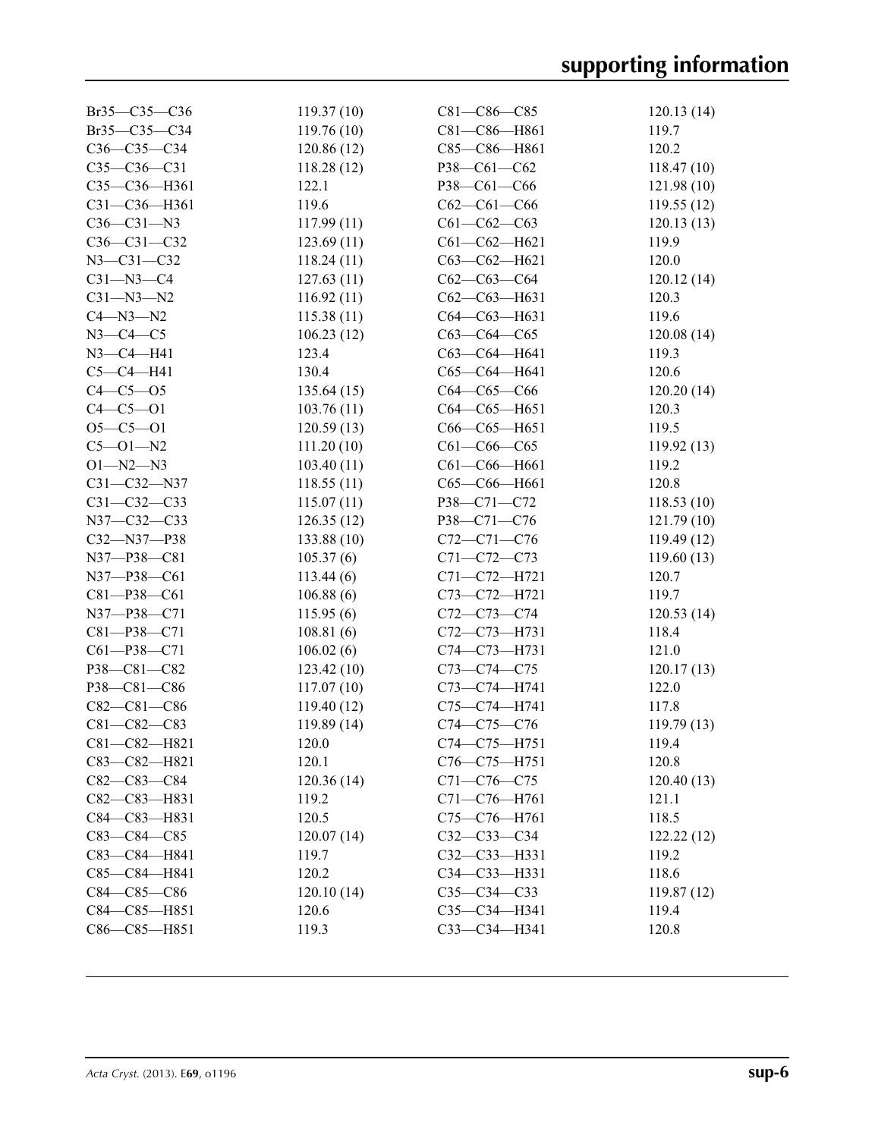| $Br35 - C35 - C36$ | 119.37(10)  | $C81 - C86 - C85$                 | 120.13(14)          |
|--------------------|-------------|-----------------------------------|---------------------|
| Br35-C35-C34       | 119.76(10)  | C81-C86-H861                      | 119.7               |
| $C36-C35-C34$      |             | C85-C86-H861                      | 120.2               |
|                    | 120.86(12)  |                                   |                     |
| $C35-C36-C31$      | 118.28(12)  | P38-C61-C62                       | 118.47(10)          |
| C35-C36-H361       | 122.1       | P38-C61-C66                       | 121.98(10)          |
| C31-C36-H361       | 119.6       | $C62-C61-C66$                     | 119.55(12)          |
| $C36 - C31 - N3$   | 117.99(11)  | $C61 - C62 - C63$                 | 120.13(13)          |
| $C36 - C31 - C32$  | 123.69(11)  | $C61 - C62 - H621$                | 119.9               |
| $N3 - C31 - C32$   | 118.24(11)  | $C63-C62-H621$                    | 120.0               |
| $C31 - N3 - C4$    | 127.63(11)  | $C62-C63-C64$                     | 120.12(14)          |
| $C31 - N3 - N2$    | 116.92(11)  | $C62-C63-H631$                    | 120.3               |
| $C4 - N3 - N2$     | 115.38(11)  | $C64 - C63 - H631$                | 119.6               |
| $N3-C4-C5$         | 106.23(12)  | $C63-C64-C65$                     | 120.08(14)          |
| $N3 - C4 - H41$    | 123.4       | C63-C64-H641                      | 119.3               |
| $C5-C4-H41$        | 130.4       | C65-C64-H641                      | 120.6               |
| $C4 - C5 - O5$     | 135.64(15)  | $C64 - C65 - C66$                 | 120.20(14)          |
| $C4 - C5 - O1$     | 103.76(11)  | $C64 - C65 - H651$                | 120.3               |
| $O5 - C5 - O1$     | 120.59(13)  | C66-C65-H651                      | 119.5               |
| $C5 - O1 - N2$     | 111.20(10)  | $C61 - C66 - C65$                 | 119.92(13)          |
| $O1 - N2 - N3$     | 103.40(11)  | C61-C66-H661                      | 119.2               |
| C31-C32-N37        | 118.55(11)  | C65-C66-H661                      | 120.8               |
| $C31 - C32 - C33$  | 115.07(11)  | P38-C71-C72                       | 118.53(10)          |
| N37-C32-C33        | 126.35(12)  | P38-C71-C76                       | 121.79(10)          |
| C32-N37-P38        | 133.88(10)  | $C72 - C71 - C76$                 | 119.49(12)          |
| N37-P38-C81        | 105.37(6)   | C71-C72-C73                       | 119.60(13)          |
| N37-P38-C61        | 113.44(6)   | C71-C72-H721                      | 120.7               |
| $C81 - P38 - C61$  | 106.88(6)   | C73-C72-H721                      | 119.7               |
| N37-P38-C71        | 115.95(6)   | C72-C73-C74                       | 120.53(14)          |
| C81-P38-C71        | 108.81(6)   | C72-C73-H731                      | 118.4               |
| $C61 - P38 - C71$  | 106.02(6)   | C74-C73-H731                      | 121.0               |
| P38-C81-C82        | 123.42(10)  | $C73 - C74 - C75$                 | 120.17(13)          |
| P38-C81-C86        | 117.07(10)  | C73-C74-H741                      | 122.0               |
| $C82-C81-C86$      | 119.40(12)  | C75-C74-H741                      | 117.8               |
| $C81 - C82 - C83$  | 119.89 (14) | C74-C75-C76                       | 119.79(13)          |
| C81-C82-H821       | 120.0       | C74-C75-H751                      | 119.4               |
| C83-C82-H821       | 120.1       |                                   |                     |
| $C82 - C83 - C84$  | 120.36(14)  | C76-C75-H751<br>$C71 - C76 - C75$ | 120.8<br>120.40(13) |
|                    |             |                                   |                     |
| C82-C83-H831       | 119.2       | C71-C76-H761                      | 121.1               |
| C84-C83-H831       | 120.5       | C75-C76-H761                      | 118.5               |
| $C83 - C84 - C85$  | 120.07(14)  | $C32 - C33 - C34$                 | 122.22(12)          |
| C83-C84-H841       | 119.7       | $C32 - C33 - H331$                | 119.2               |
| C85-C84-H841       | 120.2       | $C34 - C33 - H331$                | 118.6               |
| C84-C85-C86        | 120.10(14)  | $C35-C34-C33$                     | 119.87(12)          |
| C84-C85-H851       | 120.6       | C35-C34-H341                      | 119.4               |
| C86-C85-H851       | 119.3       | C33-C34-H341                      | 120.8               |